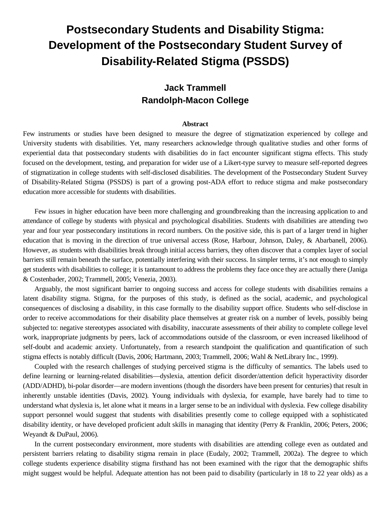# **Postsecondary Students and Disability Stigma: Development of the Postsecondary Student Survey of Disability-Related Stigma (PSSDS)**

## **Jack Trammell Randolph-Macon College**

#### **Abstract**

Few instruments or studies have been designed to measure the degree of stigmatization experienced by college and University students with disabilities. Yet, many researchers acknowledge through qualitative studies and other forms of experiential data that postsecondary students with disabilities do in fact encounter significant stigma effects. This study focused on the development, testing, and preparation for wider use of a Likert-type survey to measure self-reported degrees of stigmatization in college students with self-disclosed disabilities. The development of the Postsecondary Student Survey of Disability-Related Stigma (PSSDS) is part of a growing post-ADA effort to reduce stigma and make postsecondary education more accessible for students with disabilities.

Few issues in higher education have been more challenging and groundbreaking than the increasing application to and attendance of college by students with physical and psychological disabilities. Students with disabilities are attending two year and four year postsecondary institutions in record numbers. On the positive side, this is part of a larger trend in higher education that is moving in the direction of true universal access (Rose, Harbour, Johnson, Daley, & Abarbanell, 2006). However, as students with disabilities break through initial access barriers, they often discover that a complex layer of social barriers still remain beneath the surface, potentially interfering with their success. In simpler terms, it's not enough to simply get students with disabilities to college; it is tantamount to address the problems they face once they are actually there (Janiga & Costenbader, 2002; Trammell, 2005; Venezia, 2003).

Arguably, the most significant barrier to ongoing success and access for college students with disabilities remains a latent disability stigma. Stigma, for the purposes of this study, is defined as the social, academic, and psychological consequences of disclosing a disability, in this case formally to the disability support office. Students who self-disclose in order to receive accommodations for their disability place themselves at greater risk on a number of levels, possibly being subjected to: negative stereotypes associated with disability, inaccurate assessments of their ability to complete college level work, inappropriate judgments by peers, lack of accommodations outside of the classroom, or even increased likelihood of self-doubt and academic anxiety. Unfortunately, from a research standpoint the qualification and quantification of such stigma effects is notably difficult (Davis, 2006; Hartmann, 2003; Trammell, 2006; Wahl & NetLibrary Inc., 1999).

Coupled with the research challenges of studying perceived stigma is the difficulty of semantics. The labels used to define learning or learning-related disabilities—dyslexia, attention deficit disorder/attention deficit hyperactivity disorder (ADD/ADHD), bi-polar disorder—are modern inventions (though the disorders have been present for centuries) that result in inherently unstable identities (Davis, 2002). Young individuals with dyslexia, for example, have barely had to time to understand what dyslexia is, let alone what it means in a larger sense to be an individual with dyslexia. Few college disability support personnel would suggest that students with disabilities presently come to college equipped with a sophisticated disability identity, or have developed proficient adult skills in managing that identity (Perry & Franklin, 2006; Peters, 2006; Weyandt & DuPaul, 2006).

In the current postsecondary environment, more students with disabilities are attending college even as outdated and persistent barriers relating to disability stigma remain in place (Eudaly, 2002; Trammell, 2002a). The degree to which college students experience disability stigma firsthand has not been examined with the rigor that the demographic shifts might suggest would be helpful. Adequate attention has not been paid to disability (particularly in 18 to 22 year olds) as a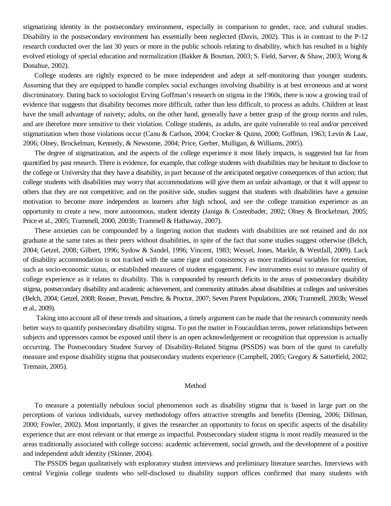stigmatizing identity in the postsecondary environment, especially in comparison to gender, race, and cultural studies. Disability in the postsecondary environment has essentially been neglected (Davis, 2002). This is in contrast to the P-12 research conducted over the last 30 years or more in the public schools relating to disability, which has resulted in a highly evolved etiology of special education and normalization (Bakker & Bosman, 2003; S. Field, Sarver, & Shaw, 2003; Wong & Donahue, 2002).

College students are rightly expected to be more independent and adept at self-monitoring than younger students. Assuming that they are equipped to handle complex social exchanges involving disability is at best erroneous and at worst discriminatory. Dating back to sociologist Erving Goffman's research on stigma in the 1960s, there is now a growing trail of evidence that suggests that disability becomes more difficult, rather than less difficult, to process as adults. Children at least have the small advantage of naivety; adults, on the other hand, generally have a better grasp of the group norms and rules, and are therefore more sensitive to their violation. College students, as adults, are quite vulnerable to real and/or perceived stigmatization when those violations occur (Canu & Carlson, 2004; Crocker & Quinn, 2000; Goffman, 1963; Levin & Laar, 2006; Olney, Brockelman, Kennedy, & Newsome, 2004; Price, Gerber, Mulligan, & Williams, 2005).

The degree of stigmatization, and the aspects of the college experience it most likely impacts, is suggested but far from quantified by past research. There is evidence, for example, that college students with disabilities may be hesitant to disclose to the college or University that they have a disability, in part because of the anticipated negative consequences of that action; that college students with disabilities may worry that accommodations will give them an unfair advantage, or that it will appear to others that they are not competitive; and on the positive side, studies suggest that students with disabilities have a genuine motivation to become more independent as learners after high school, and see the college transition experience as an opportunity to create a new, more autonomous, student identity (Janiga & Costenbader, 2002; Olney & Brockelman, 2005; Price et al., 2005; Trammell, 2000, 2003b; Trammell & Hathaway, 2007).

These anxieties can be compounded by a lingering notion that students with disabilities are not retained and do not graduate at the same rates as their peers without disabilities, in spite of the fact that some studies suggest otherwise (Belch, 2004; Getzel, 2008; Gilbert, 1996; Sydow & Sandel, 1996; Vincent, 1983; Wessel, Jones, Markle, & Westfall, 2009). Lack of disability accommodation is not tracked with the same rigor and consistency as more traditional variables for retention, such as socio-economic status, or established measures of student engagement. Few instruments exist to measure quality of college experience as it relates to disability. This is compounded by research deficits in the areas of postsecondary disability stigma, postsecondary disability and academic achievement, and community attitudes about disabilities at colleges and universities (Belch, 2004; Getzel, 2008; Reaser, Prevatt, Petschre, & Proctor, 2007; Seven Parent Populations, 2006; Trammell, 2003b; Wessel et al., 2009).

 Taking into account all of these trends and situations, a timely argument can be made that the research community needs better ways to quantify postsecondary disability stigma. To put the matter in Foucauldian terms, power relationships between subjects and oppressors cannot be exposed until there is an open acknowledgement or recognition that oppression is actually occurring. The Postsecondary Student Survey of Disability-Related Stigma (PSSDS) was born of the quest to carefully measure and expose disability stigma that postsecondary students experience (Campbell, 2005; Gregory & Satterfield, 2002; Tremain, 2005).

#### Method

To measure a potentially nebulous social phenomenon such as disability stigma that is based in large part on the perceptions of various individuals, survey methodology offers attractive strengths and benefits (Deming, 2006; Dillman, 2000; Fowler, 2002). Most importantly, it gives the researcher an opportunity to focus on specific aspects of the disability experience that are most relevant or that emerge as impactful. Postsecondary student stigma is most readily measured in the areas traditionally associated with college success: academic achievement, social growth, and the development of a positive and independent adult identity (Skinner, 2004).

The PSSDS began qualitatively with exploratory student interviews and preliminary literature searches. Interviews with central Virginia college students who self-disclosed to disability support offices confirmed that many students with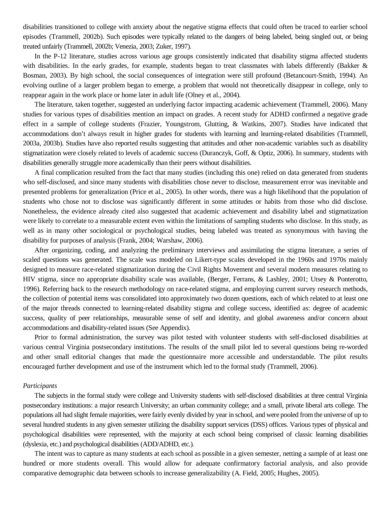disabilities transitioned to college with anxiety about the negative stigma effects that could often be traced to earlier school episodes (Trammell, 2002b). Such episodes were typically related to the dangers of being labeled, being singled out, or being treated unfairly (Trammell, 2002b; Venezia, 2003; Zuker, 1997).

In the P-12 literature, studies across various age groups consistently indicated that disability stigma affected students with disabilities. In the early grades, for example, students began to treat classmates with labels differently (Bakker & Bosman, 2003). By high school, the social consequences of integration were still profound (Betancourt-Smith, 1994). An evolving outline of a larger problem began to emerge, a problem that would not theoretically disappear in college, only to reappear again in the work place or home later in adult life (Olney et al., 2004).

The literature, taken together, suggested an underlying factor impacting academic achievement (Trammell, 2006). Many studies for various types of disabilities mention an impact on grades. A recent study for ADHD confirmed a negative grade effect in a sample of college students (Frazier, Youngstrom, Glutting, & Watkins, 2007). Studies have indicated that accommodations don't always result in higher grades for students with learning and learning-related disabilities (Trammell, 2003a, 2003b). Studies have also reported results suggesting that attitudes and other non-academic variables such as disability stigmatization were closely related to levels of academic success (Duranczyk, Goff, & Optiz, 2006). In summary, students with disabilities generally struggle more academically than their peers without disabilities.

A final complication resulted from the fact that many studies (including this one) relied on data generated from students who self-disclosed, and since many students with disabilities chose never to disclose, measurement error was inevitable and presented problems for generalization (Price et al., 2005). In other words, there was a high likelihood that the population of students who chose not to disclose was significantly different in some attitudes or habits from those who did disclose. Nonetheless, the evidence already cited also suggested that academic achievement and disability label and stigmatization were likely to correlate to a measurable extent even within the limitations of sampling students who disclose. In this study, as well as in many other sociological or psychological studies, being labeled was treated as synonymous with having the disability for purposes of analysis (Frank, 2004; Warshaw, 2006).

After organizing, coding, and analyzing the preliminary interviews and assimilating the stigma literature, a series of scaled questions was generated. The scale was modeled on Likert-type scales developed in the 1960s and 1970s mainly designed to measure race-related stigmatization during the Civil Rights Movement and several modern measures relating to HIV stigma, since no appropriate disability scale was available, (Berger, Ferrans, & Lashley, 2001; Utsey & Ponterotto, 1996). Referring back to the research methodology on race-related stigma, and employing current survey research methods, the collection of potential items was consolidated into approximately two dozen questions, each of which related to at least one of the major threads connected to learning-related disability stigma and college success, identified as: degree of academic success, quality of peer relationships, measurable sense of self and identity, and global awareness and/or concern about accommodations and disability-related issues (See Appendix).

Prior to formal administration, the survey was pilot tested with volunteer students with self-disclosed disabilities at various central Virginia postsecondary institutions. The results of the small pilot led to several questions being re-worded and other small editorial changes that made the questionnaire more accessible and understandable. The pilot results encouraged further development and use of the instrument which led to the formal study (Trammell, 2006).

#### *Participants*

The subjects in the formal study were college and University students with self-disclosed disabilities at three central Virginia postsecondary institutions: a major research University; an urban community college; and a small, private liberal arts college. The populations all had slight female majorities, were fairly evenly divided by year in school, and were pooled from the universe of up to several hundred students in any given semester utilizing the disability support services (DSS) offices. Various types of physical and psychological disabilities were represented, with the majority at each school being comprised of classic learning disabilities (dyslexia, etc.) and psychological disabilities (ADD/ADHD, etc.).

The intent was to capture as many students at each school as possible in a given semester, netting a sample of at least one hundred or more students overall. This would allow for adequate confirmatory factorial analysis, and also provide comparative demographic data between schools to increase generalizability (A. Field, 2005; Hughes, 2005).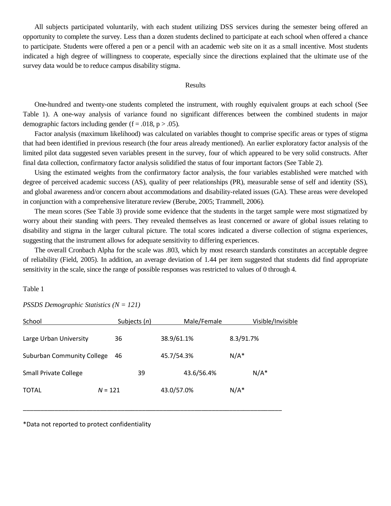All subjects participated voluntarily, with each student utilizing DSS services during the semester being offered an opportunity to complete the survey. Less than a dozen students declined to participate at each school when offered a chance to participate. Students were offered a pen or a pencil with an academic web site on it as a small incentive. Most students indicated a high degree of willingness to cooperate, especially since the directions explained that the ultimate use of the survey data would be to reduce campus disability stigma.

#### Results

One-hundred and twenty-one students completed the instrument, with roughly equivalent groups at each school (See Table 1). A one-way analysis of variance found no significant differences between the combined students in major demographic factors including gender ( $f = .018$ ,  $p > .05$ ).

Factor analysis (maximum likelihood) was calculated on variables thought to comprise specific areas or types of stigma that had been identified in previous research (the four areas already mentioned). An earlier exploratory factor analysis of the limited pilot data suggested seven variables present in the survey, four of which appeared to be very solid constructs. After final data collection, confirmatory factor analysis solidified the status of four important factors (See Table 2).

Using the estimated weights from the confirmatory factor analysis, the four variables established were matched with degree of perceived academic success (AS), quality of peer relationships (PR), measurable sense of self and identity (SS), and global awareness and/or concern about accommodations and disability-related issues (GA). These areas were developed in conjunction with a comprehensive literature review (Berube, 2005; Trammell, 2006).

The mean scores (See Table 3) provide some evidence that the students in the target sample were most stigmatized by worry about their standing with peers. They revealed themselves as least concerned or aware of global issues relating to disability and stigma in the larger cultural picture. The total scores indicated a diverse collection of stigma experiences, suggesting that the instrument allows for adequate sensitivity to differing experiences.

The overall Cronbach Alpha for the scale was .803, which by most research standards constitutes an acceptable degree of reliability (Field, 2005). In addition, an average deviation of 1.44 per item suggested that students did find appropriate sensitivity in the scale, since the range of possible responses was restricted to values of 0 through 4.

Table 1

*PSSDS Demographic Statistics (N = 121)* 

| School                            | Subjects $(n)$ |    |            | Male/Female |           | Visible/Invisible |
|-----------------------------------|----------------|----|------------|-------------|-----------|-------------------|
| Large Urban University            | 36             |    | 38.9/61.1% |             | 8.3/91.7% |                   |
| <b>Suburban Community College</b> | 46             |    | 45.7/54.3% |             | $N/A^*$   |                   |
| <b>Small Private College</b>      |                | 39 |            | 43.6/56.4%  |           | $N/A^*$           |
| <b>TOTAL</b>                      | $N = 121$      |    | 43.0/57.0% |             | $N/A^*$   |                   |
|                                   |                |    |            |             |           |                   |

\*Data not reported to protect confidentiality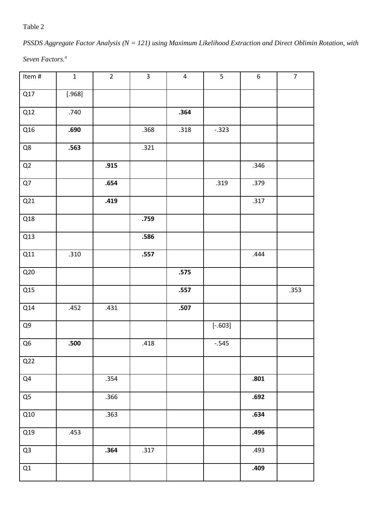Table 2

### *PSSDS Aggregate Factor Analysis (N = 121) using Maximum Likelihood Extraction and Direct Oblimin Rotation, with*

*Seven Factors.<sup>a</sup>*

| Item $\#$      | $\mathbf 1$ | $\overline{2}$ | $\overline{3}$ | $\overline{4}$ | $\overline{5}$ | $\boldsymbol{6}$ | $\overline{7}$ |
|----------------|-------------|----------------|----------------|----------------|----------------|------------------|----------------|
| Q17            | [.968]      |                |                |                |                |                  |                |
| Q12            | .740        |                |                | .364           |                |                  |                |
| Q16            | .690        |                | .368           | .318           | $-.323$        |                  |                |
| Q8             | .563        |                | .321           |                |                |                  |                |
| $\mathsf{Q2}$  |             | .915           |                |                |                | .346             |                |
| Q7             |             | .654           |                |                | .319           | .379             |                |
| Q21            |             | .419           |                |                |                | .317             |                |
| Q18            |             |                | .759           |                |                |                  |                |
| Q13            |             |                | .586           |                |                |                  |                |
| Q11            | .310        |                | .557           |                |                | .444             |                |
| Q20            |             |                |                | .575           |                |                  |                |
| Q15            |             |                |                | .557           |                |                  | .353           |
| Q14            | .452        | .431           |                | .507           |                |                  |                |
| Q9             |             |                |                |                | $[-.603]$      |                  |                |
| Q <sub>6</sub> | .500        |                | .418           |                | $-0.545$       |                  |                |
| Q22            |             |                |                |                |                |                  |                |
| Q4             |             | .354           |                |                |                | .801             |                |
| Q <sub>5</sub> |             | .366           |                |                |                | .692             |                |
| Q10            |             | .363           |                |                |                | .634             |                |
| Q19            | .453        |                |                |                |                | .496             |                |
| Q <sub>3</sub> |             | .364           | .317           |                |                | .493             |                |
| Q1             |             |                |                |                |                | .409             |                |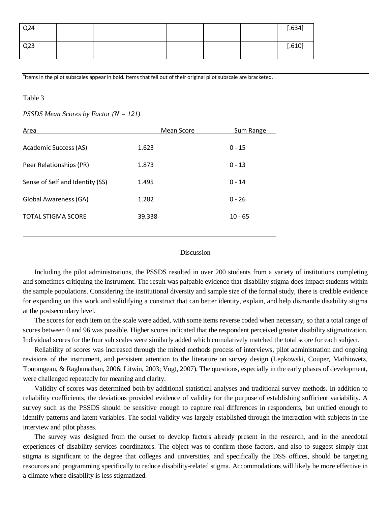| Q <sub>24</sub> |  |  |  | [.634] |
|-----------------|--|--|--|--------|
| Q <sub>23</sub> |  |  |  | [.610] |

<sup>a</sup>ltems in the pilot subscales appear in bold. Items that fell out of their original pilot subscale are bracketed.

#### Table 3

*PSSDS Mean Scores by Factor (N = 121)* 

| Area                            | Mean Score | Sum Range |
|---------------------------------|------------|-----------|
| Academic Success (AS)           | 1.623      | $0 - 15$  |
| Peer Relationships (PR)         | 1.873      | $0 - 13$  |
| Sense of Self and Identity (SS) | 1.495      | $0 - 14$  |
| Global Awareness (GA)           | 1.282      | $0 - 26$  |
| <b>TOTAL STIGMA SCORE</b>       | 39.338     | $10 - 65$ |
|                                 |            |           |

#### Discussion

Including the pilot administrations, the PSSDS resulted in over 200 students from a variety of institutions completing and sometimes critiquing the instrument. The result was palpable evidence that disability stigma does impact students within the sample populations. Considering the institutional diversity and sample size of the formal study, there is credible evidence for expanding on this work and solidifying a construct that can better identity, explain, and help dismantle disability stigma at the postsecondary level.

The scores for each item on the scale were added, with some items reverse coded when necessary, so that a total range of scores between 0 and 96 was possible. Higher scores indicated that the respondent perceived greater disability stigmatization. Individual scores for the four sub scales were similarly added which cumulatively matched the total score for each subject.

Reliability of scores was increased through the mixed methods process of interviews, pilot administration and ongoing revisions of the instrument, and persistent attention to the literature on survey design (Lepkowski, Couper, Mathiowetz, Tourangeau, & Raghunathan, 2006; Litwin, 2003; Vogt, 2007). The questions, especially in the early phases of development, were challenged repeatedly for meaning and clarity.

Validity of scores was determined both by additional statistical analyses and traditional survey methods. In addition to reliability coefficients, the deviations provided evidence of validity for the purpose of establishing sufficient variability. A survey such as the PSSDS should be sensitive enough to capture real differences in respondents, but unified enough to identify patterns and latent variables. The social validity was largely established through the interaction with subjects in the interview and pilot phases.

The survey was designed from the outset to develop factors already present in the research, and in the anecdotal experiences of disability services coordinators. The object was to confirm those factors, and also to suggest simply that stigma is significant to the degree that colleges and universities, and specifically the DSS offices, should be targeting resources and programming specifically to reduce disability-related stigma. Accommodations will likely be more effective in a climate where disability is less stigmatized.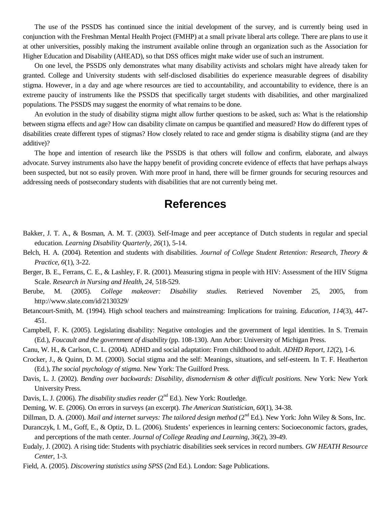The use of the PSSDS has continued since the initial development of the survey, and is currently being used in conjunction with the Freshman Mental Health Project (FMHP) at a small private liberal arts college. There are plans to use it at other universities, possibly making the instrument available online through an organization such as the Association for Higher Education and Disability (AHEAD), so that DSS offices might make wider use of such an instrument.

On one level, the PSSDS only demonstrates what many disability activists and scholars might have already taken for granted. College and University students with self-disclosed disabilities do experience measurable degrees of disability stigma. However, in a day and age where resources are tied to accountability, and accountability to evidence, there is an extreme paucity of instruments like the PSSDS that specifically target students with disabilities, and other marginalized populations. The PSSDS may suggest the enormity of what remains to be done.

An evolution in the study of disability stigma might allow further questions to be asked, such as: What is the relationship between stigma effects and age? How can disability climate on campus be quantified and measured? How do different types of disabilities create different types of stigmas? How closely related to race and gender stigma is disability stigma (and are they additive)?

The hope and intention of research like the PSSDS is that others will follow and confirm, elaborate, and always advocate. Survey instruments also have the happy benefit of providing concrete evidence of effects that have perhaps always been suspected, but not so easily proven. With more proof in hand, there will be firmer grounds for securing resources and addressing needs of postsecondary students with disabilities that are not currently being met.

## **References**

- Bakker, J. T. A., & Bosman, A. M. T. (2003). Self-Image and peer acceptance of Dutch students in regular and special education. *Learning Disability Quarterly, 26*(1), 5-14.
- Belch, H. A. (2004). Retention and students with disabilities. *Journal of College Student Retention: Research, Theory & Practice, 6*(1), 3-22.
- Berger, B. E., Ferrans, C. E., & Lashley, F. R. (2001). Measuring stigma in people with HIV: Assessment of the HIV Stigma Scale. *Research in Nursing and Health, 24*, 518-529.
- Berube, M. (2005). *College makeover: Disability studies.* Retrieved November 25, 2005, from http://www.slate.com/id/2130329/
- Betancourt-Smith, M. (1994). High school teachers and mainstreaming: Implications for training. *Education, 114*(3), 447- 451.
- Campbell, F. K. (2005). Legislating disability: Negative ontologies and the government of legal identities. In S. Tremain (Ed.), *Foucault and the government of disability* (pp. 108-130). Ann Arbor: University of Michigan Press.
- Canu, W. H., & Carlson, C. L. (2004). ADHD and social adaptation: From childhood to adult. *ADHD Report, 12*(2), 1-6.
- Crocker, J., & Quinn, D. M. (2000). Social stigma and the self: Meanings, situations, and self-esteem. In T. F. Heatherton (Ed.), *The social psychology of stigma*. New York: The Guilford Press.
- Davis, L. J. (2002). *Bending over backwards: Disability, dismodernism & other difficult positions*. New York: New York University Press.
- Davis, L. J. (2006). *The disability studies reader* (2<sup>nd</sup> Ed.). New York: Routledge.
- Deming, W. E. (2006). On errors in surveys (an excerpt). *The American Statistician, 60*(1), 34-38.
- Dillman, D. A. (2000). *Mail and internet surveys: The tailored design method* (2<sup>nd</sup> Ed.). New York: John Wiley & Sons, Inc.
- Duranczyk, I. M., Goff, E., & Optiz, D. L. (2006). Students' experiences in learning centers: Socioeconomic factors, grades, and perceptions of the math center. *Journal of College Reading and Learning, 36*(2), 39-49.
- Eudaly, J. (2002). A rising tide: Students with psychiatric disabilities seek services in record numbers. *GW HEATH Resource Center*, 1-3.
- Field, A. (2005). *Discovering statistics using SPSS* (2nd Ed.). London: Sage Publications.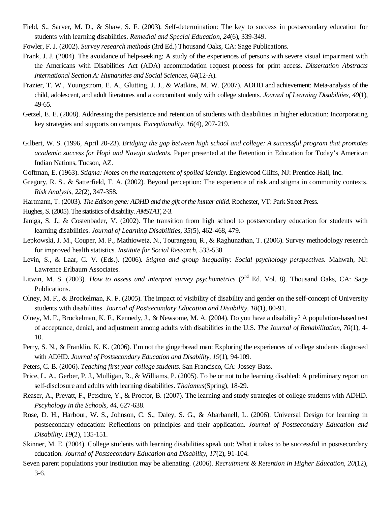- Field, S., Sarver, M. D., & Shaw, S. F. (2003). Self-determination: The key to success in postsecondary education for students with learning disabilities. *Remedial and Special Education, 24*(6), 339-349.
- Fowler, F. J. (2002). *Survey research methods* (3rd Ed.) Thousand Oaks, CA: Sage Publications.
- Frank, J. J. (2004). The avoidance of help-seeking: A study of the experiences of persons with severe visual impairment with the Americans with Disabilities Act (ADA) accommodation request process for print access. *Dissertation Abstracts International Section A: Humanities and Social Sciences, 64*(12-A).
- Frazier, T. W., Youngstrom, E. A., Glutting, J. J., & Watkins, M. W. (2007). ADHD and achievement: Meta-analysis of the child, adolescent, and adult literatures and a concomitant study with college students. *Journal of Learning Disabilities, 40*(1), 49-65.
- Getzel, E. E. (2008). Addressing the persistence and retention of students with disabilities in higher education: Incorporating key strategies and supports on campus. *Exceptionality, 16*(4), 207-219.
- Gilbert, W. S. (1996, April 20-23). *Bridging the gap between high school and college: A successful program that promotes academic success for Hopi and Navajo students.* Paper presented at the Retention in Education for Today's American Indian Nations, Tucson, AZ.
- Goffman, E. (1963). *Stigma: Notes on the management of spoiled identity.* Englewood Cliffs, NJ: Prentice-Hall, Inc.
- Gregory, R. S., & Satterfield, T. A. (2002). Beyond perception: The experience of risk and stigma in community contexts. *Risk Analysis, 22*(2), 347-358.
- Hartmann, T. (2003). *The Edison gene: ADHD and the gift of the hunter child.* Rochester, VT: Park Street Press.
- Hughes, S. (2005). The statistics of disability. *AMSTAT*, 2-3.
- Janiga, S. J., & Costenbader, V. (2002). The transition from high school to postsecondary education for students with learning disabilities. *Journal of Learning Disabilities, 35*(5), 462-468, 479.
- Lepkowski, J. M., Couper, M. P., Mathiowetz, N., Tourangeau, R., & Raghunathan, T. (2006). Survey methodology research for improved health statistics. *Institute for Social Research*, 533-538.
- Levin, S., & Laar, C. V. (Eds.). (2006). *Stigma and group inequality: Social psychology perspectives*. Mahwah, NJ: Lawrence Erlbaum Associates.
- Litwin, M. S. (2003). *How to assess and interpret survey psychometrics* (2<sup>nd</sup> Ed. Vol. 8). Thousand Oaks, CA: Sage Publications.
- Olney, M. F., & Brockelman, K. F. (2005). The impact of visibility of disability and gender on the self-concept of University students with disabilities. *Journal of Postsecondary Education and Disability, 18*(1), 80-91.
- Olney, M. F., Brockelman, K. F., Kennedy, J., & Newsome, M. A. (2004). Do you have a disability? A population-based test of acceptance, denial, and adjustment among adults with disabilities in the U.S. *The Journal of Rehabilitation, 70*(1), 4- 10.
- Perry, S. N., & Franklin, K. K. (2006). I'm not the gingerbread man: Exploring the experiences of college students diagnosed with ADHD. *Journal of Postsecondary Education and Disability, 19*(1), 94-109.
- Peters, C. B. (2006). *Teaching first year college students.* San Francisco, CA: Jossey-Bass.
- Price, L. A., Gerber, P. J., Mulligan, R., & Williams, P. (2005). To be or not to be learning disabled: A preliminary report on self-disclosure and adults with learning disabilities. *Thalamus*(Spring), 18-29.
- Reaser, A., Prevatt, F., Petschre, Y., & Proctor, B. (2007). The learning and study strategies of college students with ADHD. *Pscyhology in the Schools, 44,* 627-638.
- Rose, D. H., Harbour, W. S., Johnson, C. S., Daley, S. G., & Abarbanell, L. (2006). Universal Design for learning in postsecondary education: Reflections on principles and their application. *Journal of Postsecondary Education and Disability, 19*(2), 135-151.
- Skinner, M. E. (2004). College students with learning disabilities speak out: What it takes to be successful in postsecondary education. *Journal of Postsecondary Education and Disability, 17*(2), 91-104.
- Seven parent populations your institution may be alienating. (2006). *Recruitment & Retention in Higher Education, 20*(12), 3-6.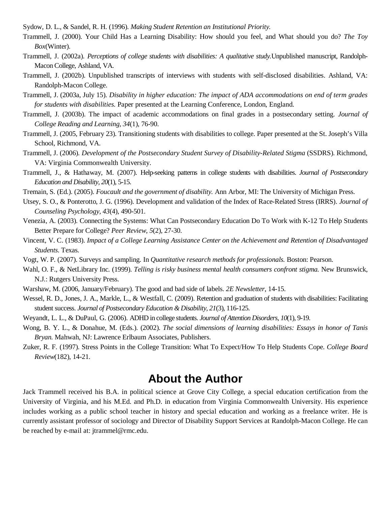Sydow, D. L., & Sandel, R. H. (1996). *Making Student Retention an Institutional Priority.* 

- Trammell, J. (2000). Your Child Has a Learning Disability: How should you feel, and What should you do? *The Toy Box*(Winter).
- Trammell, J. (2002a). *Perceptions of college students with disabilities: A qualitative study.*Unpublished manuscript, Randolph-Macon College, Ashland, VA.
- Trammell, J. (2002b). Unpublished transcripts of interviews with students with self-disclosed disabilities. Ashland, VA: Randolph-Macon College.
- Trammell, J. (2003a, July 15). *Disability in higher education: The impact of ADA accommodations on end of term grades for students with disabilities.* Paper presented at the Learning Conference, London, England.
- Trammell, J. (2003b). The impact of academic accommodations on final grades in a postsecondary setting. *Journal of College Reading and Learning, 34*(1), 76-90.
- Trammell, J. (2005, February 23). Transitioning students with disabilities to college. Paper presented at the St. Joseph's Villa School, Richmond, VA.
- Trammell, J. (2006). *Development of the Postsecondary Student Survey of Disability-Related Stigma* (SSDRS). Richmond, VA: Virginia Commonwealth University.
- Trammell, J., & Hathaway, M. (2007). Help-seeking patterns in college students with disabilities. *Journal of Postsecondary Education and Disability, 20*(1), 5-15.
- Tremain, S. (Ed.). (2005). *Foucault and the government of disability.* Ann Arbor, MI: The University of Michigan Press.
- Utsey, S. O., & Ponterotto, J. G. (1996). Development and validation of the Index of Race-Related Stress (IRRS). *Journal of Counseling Psychology, 43*(4), 490-501.
- Venezia, A. (2003). Connecting the Systems: What Can Postsecondary Education Do To Work with K-12 To Help Students Better Prepare for College? *Peer Review, 5*(2), 27-30.
- Vincent, V. C. (1983). *Impact of a College Learning Assistance Center on the Achievement and Retention of Disadvantaged Students*. Texas.
- Vogt, W. P. (2007). Surveys and sampling. In *Quantitative research methods for professionals.* Boston: Pearson.
- Wahl, O. F., & NetLibrary Inc. (1999). *Telling is risky business mental health consumers confront stigma.* New Brunswick, N.J.: Rutgers University Press.
- Warshaw, M. (2006, January/February). The good and bad side of labels. *2E Newsletter*, 14-15.
- Wessel, R. D., Jones, J. A., Markle, L., & Westfall, C. (2009). Retention and graduation of students with disabilities: Facilitating student success. *Journal of Postsecondary Education & Disability, 21*(3), 116-125.
- Weyandt, L. L., & DuPaul, G. (2006). ADHD in college students. *Journal of Attention Disorders, 10*(1), 9-19.
- Wong, B. Y. L., & Donahue, M. (Eds.). (2002). *The social dimensions of learning disabilities: Essays in honor of Tanis Bryan.* Mahwah, NJ: Lawrence Erlbaum Associates, Publishers.
- Zuker, R. F. (1997). Stress Points in the College Transition: What To Expect/How To Help Students Cope. *College Board Review*(182), 14-21.

## **About the Author**

Jack Trammell received his B.A. in political science at Grove City College, a special education certification from the University of Virginia, and his M.Ed. and Ph.D. in education from Virginia Commonwealth University. His experience includes working as a public school teacher in history and special education and working as a freelance writer. He is currently assistant professor of sociology and Director of Disability Support Services at Randolph-Macon College. He can be reached by e-mail at: jtrammel@rmc.edu.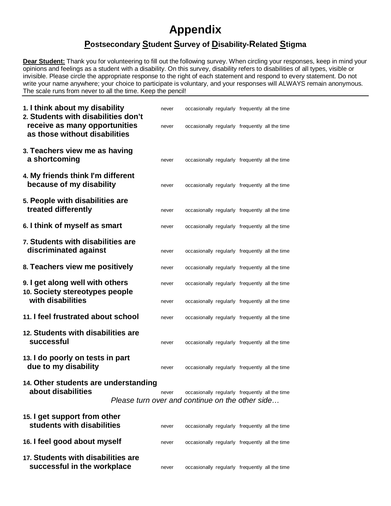# **Appendix**

### **Postsecondary Student Survey of Disability-Related Stigma**

**Dear Student:** Thank you for volunteering to fill out the following survey. When circling your responses, keep in mind your opinions and feelings as a student with a disability. On this survey, disability refers to disabilities of all types, visible or invisible. Please circle the appropriate response to the right of each statement and respond to every statement. Do not write your name anywhere; your choice to participate is voluntary, and your responses will ALWAYS remain anonymous. The scale runs from never to all the time. Keep the pencil!

| 1. I think about my disability<br>2. Students with disabilities don't<br>receive as many opportunities |                                                 | never<br>never | occasionally regularly frequently all the time<br>occasionally regularly frequently all the time |  |  |
|--------------------------------------------------------------------------------------------------------|-------------------------------------------------|----------------|--------------------------------------------------------------------------------------------------|--|--|
| as those without disabilities                                                                          |                                                 |                |                                                                                                  |  |  |
| 3. Teachers view me as having<br>a shortcoming                                                         |                                                 | never          | occasionally regularly frequently all the time                                                   |  |  |
| 4. My friends think I'm different<br>because of my disability                                          |                                                 | never          | occasionally regularly frequently all the time                                                   |  |  |
| 5. People with disabilities are<br>treated differently                                                 |                                                 | never          | occasionally regularly frequently all the time                                                   |  |  |
| 6. I think of myself as smart                                                                          |                                                 | never          | occasionally regularly frequently all the time                                                   |  |  |
| 7. Students with disabilities are<br>discriminated against                                             |                                                 | never          | occasionally regularly frequently all the time                                                   |  |  |
| 8. Teachers view me positively                                                                         |                                                 | never          | occasionally regularly frequently all the time                                                   |  |  |
| 9. I get along well with others<br>10. Society stereotypes people                                      |                                                 | never          | occasionally regularly frequently all the time                                                   |  |  |
| with disabilities                                                                                      |                                                 | never          | occasionally regularly frequently all the time                                                   |  |  |
| 11. I feel frustrated about school                                                                     |                                                 | never          | occasionally regularly frequently all the time                                                   |  |  |
| 12. Students with disabilities are<br>successful                                                       |                                                 | never          | occasionally regularly frequently all the time                                                   |  |  |
| 13. I do poorly on tests in part<br>due to my disability                                               |                                                 | never          | occasionally regularly frequently all the time                                                   |  |  |
| 14. Other students are understanding                                                                   |                                                 |                |                                                                                                  |  |  |
| about disabilities                                                                                     | Please turn over and continue on the other side | never          | occasionally regularly frequently all the time                                                   |  |  |
| 15. I get support from other<br>students with disabilities                                             |                                                 | never          | occasionally regularly frequently all the time                                                   |  |  |
| 16. I feel good about myself                                                                           |                                                 | never          | occasionally regularly frequently all the time                                                   |  |  |
| 17. Students with disabilities are                                                                     |                                                 |                |                                                                                                  |  |  |

**successful in the workplace** never occasionally regularly frequently all the time